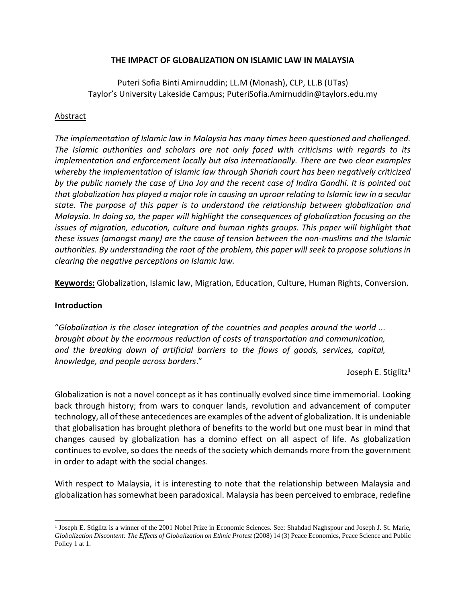## **THE IMPACT OF GLOBALIZATION ON ISLAMIC LAW IN MALAYSIA**

Puteri Sofia Binti Amirnuddin; LL.M (Monash), CLP, LL.B (UTas) Taylor's University Lakeside Campus; PuteriSofia.Amirnuddin@taylors.edu.my

### **Abstract**

*The implementation of Islamic law in Malaysia has many times been questioned and challenged. The Islamic authorities and scholars are not only faced with criticisms with regards to its implementation and enforcement locally but also internationally. There are two clear examples whereby the implementation of Islamic law through Shariah court has been negatively criticized by the public namely the case of Lina Joy and the recent case of Indira Gandhi. It is pointed out that globalization has played a major role in causing an uproar relating to Islamic law in a secular state. The purpose of this paper is to understand the relationship between globalization and Malaysia. In doing so, the paper will highlight the consequences of globalization focusing on the issues of migration, education, culture and human rights groups. This paper will highlight that these issues (amongst many) are the cause of tension between the non-muslims and the Islamic authorities. By understanding the root of the problem, this paper will seek to propose solutions in clearing the negative perceptions on Islamic law.* 

**Keywords:** Globalization, Islamic law, Migration, Education, Culture, Human Rights, Conversion.

### **Introduction**

"*Globalization is the closer integration of the countries and peoples around the world ... brought about by the enormous reduction of costs of transportation and communication, and the breaking down of artificial barriers to the flows of goods, services, capital, knowledge, and people across borders*."

Joseph E. Stiglitz<sup>1</sup>

Globalization is not a novel concept as it has continually evolved since time immemorial. Looking back through history; from wars to conquer lands, revolution and advancement of computer technology, all of these antecedences are examples of the advent of globalization. It is undeniable that globalisation has brought plethora of benefits to the world but one must bear in mind that changes caused by globalization has a domino effect on all aspect of life. As globalization continues to evolve, so does the needs of the society which demands more from the government in order to adapt with the social changes.

With respect to Malaysia, it is interesting to note that the relationship between Malaysia and globalization has somewhat been paradoxical. Malaysia has been perceived to embrace, redefine

<sup>&</sup>lt;sup>1</sup> Joseph E. Stiglitz is a winner of the 2001 Nobel Prize in Economic Sciences. See: Shahdad Naghspour and Joseph J. St. Marie, *Globalization Discontent: The Effects of Globalization on Ethnic Protest* (2008) 14 (3) Peace Economics, Peace Science and Public Policy 1 at 1.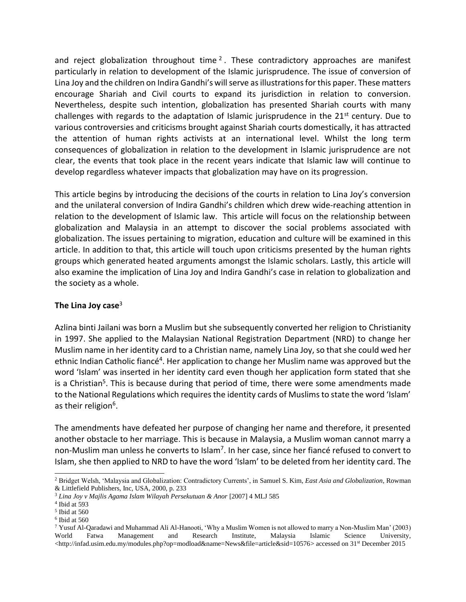and reject globalization throughout time  $2$ . These contradictory approaches are manifest particularly in relation to development of the Islamic jurisprudence. The issue of conversion of Lina Joy and the children on Indira Gandhi's will serve as illustrations for this paper. These matters encourage Shariah and Civil courts to expand its jurisdiction in relation to conversion. Nevertheless, despite such intention, globalization has presented Shariah courts with many challenges with regards to the adaptation of Islamic jurisprudence in the  $21<sup>st</sup>$  century. Due to various controversies and criticisms brought against Shariah courts domestically, it has attracted the attention of human rights activists at an international level. Whilst the long term consequences of globalization in relation to the development in Islamic jurisprudence are not clear, the events that took place in the recent years indicate that Islamic law will continue to develop regardless whatever impacts that globalization may have on its progression.

This article begins by introducing the decisions of the courts in relation to Lina Joy's conversion and the unilateral conversion of Indira Gandhi's children which drew wide-reaching attention in relation to the development of Islamic law. This article will focus on the relationship between globalization and Malaysia in an attempt to discover the social problems associated with globalization. The issues pertaining to migration, education and culture will be examined in this article. In addition to that, this article will touch upon criticisms presented by the human rights groups which generated heated arguments amongst the Islamic scholars. Lastly, this article will also examine the implication of Lina Joy and Indira Gandhi's case in relation to globalization and the society as a whole.

# **The Lina Joy case**<sup>3</sup>

Azlina binti Jailani was born a Muslim but she subsequently converted her religion to Christianity in 1997. She applied to the Malaysian National Registration Department (NRD) to change her Muslim name in her identity card to a Christian name, namely Lina Joy, so that she could wed her ethnic Indian Catholic fiancé<sup>4</sup>. Her application to change her Muslim name was approved but the word 'Islam' was inserted in her identity card even though her application form stated that she is a Christian<sup>5</sup>. This is because during that period of time, there were some amendments made to the National Regulations which requires the identity cards of Muslims to state the word 'Islam' as their religion<sup>6</sup>.

The amendments have defeated her purpose of changing her name and therefore, it presented another obstacle to her marriage. This is because in Malaysia, a Muslim woman cannot marry a non-Muslim man unless he converts to Islam<sup>7</sup>. In her case, since her fiancé refused to convert to Islam, she then applied to NRD to have the word 'Islam' to be deleted from her identity card. The

<sup>2</sup> Bridget Welsh, 'Malaysia and Globalization: Contradictory Currents', in Samuel S. Kim, *East Asia and Globalization*, Rowman & Littlefield Publishers, Inc, USA, 2000, p. 233

<sup>&</sup>lt;sup>3</sup> Lina Joy v Majlis Agama Islam Wilayah Persekutuan & Anor [2007] 4 MLJ 585

<sup>4</sup> Ibid at 593

<sup>5</sup> Ibid at 560

<sup>6</sup> Ibid at 560

<sup>7</sup> Yusuf Al-Qaradawi and Muhammad Ali Al-Hanooti, 'Why a Muslim Women is not allowed to marry a Non-Muslim Man' (2003) World Fatwa Management and Research Institute, Malaysia Islamic Science University, <http://infad.usim.edu.my/modules.php?op=modload&name=News&file=article&sid=10576> accessed on 31<sup>st</sup> December 2015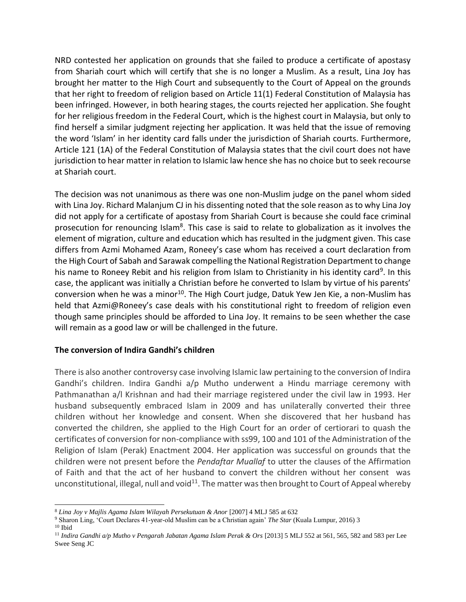NRD contested her application on grounds that she failed to produce a certificate of apostasy from Shariah court which will certify that she is no longer a Muslim. As a result, Lina Joy has brought her matter to the High Court and subsequently to the Court of Appeal on the grounds that her right to freedom of religion based on Article 11(1) Federal Constitution of Malaysia has been infringed. However, in both hearing stages, the courts rejected her application. She fought for her religious freedom in the Federal Court, which is the highest court in Malaysia, but only to find herself a similar judgment rejecting her application. It was held that the issue of removing the word 'Islam' in her identity card falls under the jurisdiction of Shariah courts. Furthermore, Article 121 (1A) of the Federal Constitution of Malaysia states that the civil court does not have jurisdiction to hear matter in relation to Islamic law hence she has no choice but to seek recourse at Shariah court.

The decision was not unanimous as there was one non-Muslim judge on the panel whom sided with Lina Joy. Richard Malanjum CJ in his dissenting noted that the sole reason as to why Lina Joy did not apply for a certificate of apostasy from Shariah Court is because she could face criminal prosecution for renouncing Islam<sup>8</sup>. This case is said to relate to globalization as it involves the element of migration, culture and education which has resulted in the judgment given. This case differs from Azmi Mohamed Azam, Roneey's case whom has received a court declaration from the High Court of Sabah and Sarawak compelling the National Registration Department to change his name to Roneey Rebit and his religion from Islam to Christianity in his identity card<sup>9</sup>. In this case, the applicant was initially a Christian before he converted to Islam by virtue of his parents' conversion when he was a minor<sup>10</sup>. The High Court judge, Datuk Yew Jen Kie, a non-Muslim has held that Azmi@Roneey's case deals with his constitutional right to freedom of religion even though same principles should be afforded to Lina Joy. It remains to be seen whether the case will remain as a good law or will be challenged in the future.

### **The conversion of Indira Gandhi's children**

There is also another controversy case involving Islamic law pertaining to the conversion of Indira Gandhi's children. Indira Gandhi a/p Mutho underwent a Hindu marriage ceremony with Pathmanathan a/l Krishnan and had their marriage registered under the civil law in 1993. Her husband subsequently embraced Islam in 2009 and has unilaterally converted their three children without her knowledge and consent. When she discovered that her husband has converted the children, she applied to the High Court for an order of certiorari to quash the certificates of conversion for non-compliance with ss99, 100 and 101 of the Administration of the Religion of Islam (Perak) Enactment 2004. Her application was successful on grounds that the children were not present before the *Pendaftar Muallaf* to utter the clauses of the Affirmation of Faith and that the act of her husband to convert the children without her consent was unconstitutional, illegal, null and void $11$ . The matter was then brought to Court of Appeal whereby

<sup>8</sup> *Lina Joy v Majlis Agama Islam Wilayah Persekutuan & Anor* [2007] 4 MLJ 585 at 632

<sup>9</sup> Sharon Ling, 'Court Declares 41-year-old Muslim can be a Christian again' *The Star* (Kuala Lumpur, 2016) 3  $^{\rm 10}$  Ibid

<sup>11</sup> *Indira Gandhi a/p Mutho v Pengarah Jabatan Agama Islam Perak & Ors* [2013] 5 MLJ 552 at 561, 565, 582 and 583 per Lee Swee Seng JC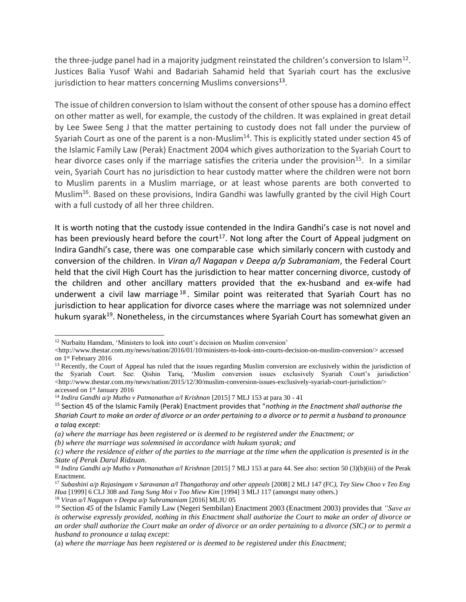the three-judge panel had in a majority judgment reinstated the children's conversion to Islam<sup>12</sup>. Justices Balia Yusof Wahi and Badariah Sahamid held that Syariah court has the exclusive jurisdiction to hear matters concerning Muslims conversions<sup>13</sup>.

The issue of children conversion to Islam without the consent of other spouse has a domino effect on other matter as well, for example, the custody of the children. It was explained in great detail by Lee Swee Seng J that the matter pertaining to custody does not fall under the purview of Syariah Court as one of the parent is a non-Muslim<sup>14</sup>. This is explicitly stated under section 45 of the Islamic Family Law (Perak) Enactment 2004 which gives authorization to the Syariah Court to hear divorce cases only if the marriage satisfies the criteria under the provision<sup>15</sup>. In a similar vein, Syariah Court has no jurisdiction to hear custody matter where the children were not born to Muslim parents in a Muslim marriage, or at least whose parents are both converted to Muslim<sup>16</sup>. Based on these provisions, Indira Gandhi was lawfully granted by the civil High Court with a full custody of all her three children.

It is worth noting that the custody issue contended in the Indira Gandhi's case is not novel and has been previously heard before the court<sup>17</sup>. Not long after the Court of Appeal judgment on Indira Gandhi's case, there was one comparable case which similarly concern with custody and conversion of the children. In *Viran a/l Nagapan v Deepa a/p Subramaniam*, the Federal Court held that the civil High Court has the jurisdiction to hear matter concerning divorce, custody of the children and other ancillary matters provided that the ex-husband and ex-wife had underwent a civil law marriage  $18$ . Similar point was reiterated that Syariah Court has no jurisdiction to hear application for divorce cases where the marriage was not solemnized under hukum syarak<sup>19</sup>. Nonetheless, in the circumstances where Syariah Court has somewhat given an

<sup>12</sup> Nurbaitu Hamdam, 'Ministers to look into court's decision on Muslim conversion'

 $\langle$ http://www.thestar.com.my/news/nation/2016/01/10/ministers-to-look-into-courts-decision-on-muslim-conversion/> accessed on 1st February 2016

 $<sup>13</sup>$  Recently, the Court of Appeal has ruled that the issues regarding Muslim conversion are exclusively within the jurisdiction of</sup> the Syariah Court. See: Qishin Tariq, 'Muslim conversion issues exclusively Syariah Court's jurisdiction' <http://www.thestar.com.my/news/nation/2015/12/30/muslim-conversion-issues-exclusively-syariah-court-jurisdiction/> accessed on 1st January 2016

<sup>&</sup>lt;sup>14</sup> Indira Gandhi a/p Mutho v Patmanathan a/l Krishnan [2015] 7 MLJ 153 at para 30 - 41

<sup>15</sup> Section 45 of the Islamic Family (Perak) Enactment provides that "*nothing in the Enactment shall authorise the Shariah Court to make an order of divorce or an order pertaining to a divorce or to permit a husband to pronounce a talaq except:*

*<sup>(</sup>a) where the marriage has been registered or is deemed to be registered under the Enactment; or*

*<sup>(</sup>b) where the marriage was solemnised in accordance with hukum syarak; and*

*<sup>(</sup>c) where the residence of either of the parties to the marriage at the time when the application is presented is in the State of Perak Darul Ridzuan.*

<sup>16</sup> *Indira Gandhi a/p Mutho v Patmanathan a/l Krishnan* [2015] 7 MLJ 153 at para 44. See also: section 50 (3)(b)(iii) of the Perak Enactment.

<sup>17</sup> *Subashini a/p Rajasingam v Saravanan a/l Thangathoray and other appeals* [2008] 2 MLJ 147 (FC*), Tey Siew Choo v Teo Eng Hua* [1999] 6 CLJ 308 and *Tang Sung Moi v Too Miew Kim* [1994] 3 MLJ 117 (amongst many others.)

<sup>18</sup> *Viran a/l Nagapan v Deepa a/p Subramaniam* [2016] MLJU 05

<sup>19</sup> Section *45* of the Islamic Family Law (Negeri Sembilan) Enactment 2003 (Enactment 2003) provides that *"Save as is otherwise expressly provided, nothing in this Enactment shall authorize the Court to make an order of divorce or an order shall authorize the Court make an order of divorce or an order pertaining to a divorce (SIC) or to permit a husband to pronounce a talaq except:*

<sup>(</sup>a) *where the marriage has been registered or is deemed to be registered under this Enactment;*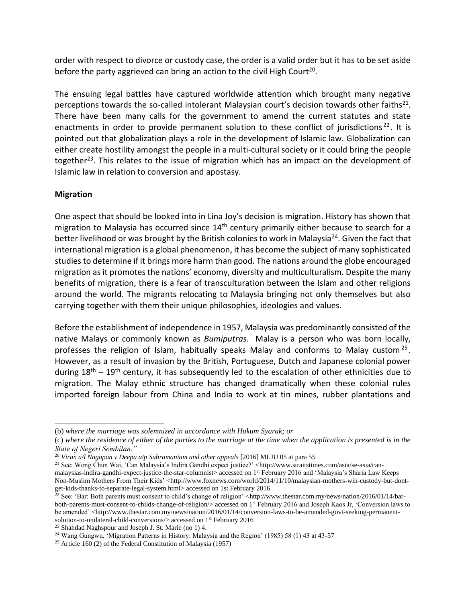order with respect to divorce or custody case, the order is a valid order but it has to be set aside before the party aggrieved can bring an action to the civil High Court<sup>20</sup>.

The ensuing legal battles have captured worldwide attention which brought many negative perceptions towards the so-called intolerant Malaysian court's decision towards other faiths<sup>21</sup>. There have been many calls for the government to amend the current statutes and state enactments in order to provide permanent solution to these conflict of jurisdictions<sup>22</sup>. It is pointed out that globalization plays a role in the development of Islamic law. Globalization can either create hostility amongst the people in a multi-cultural society or it could bring the people together<sup>23</sup>. This relates to the issue of migration which has an impact on the development of Islamic law in relation to conversion and apostasy.

## **Migration**

One aspect that should be looked into in Lina Joy's decision is migration. History has shown that migration to Malaysia has occurred since 14<sup>th</sup> century primarily either because to search for a better livelihood or was brought by the British colonies to work in Malaysia<sup>24</sup>. Given the fact that international migration is a global phenomenon, it has become the subject of many sophisticated studies to determine if it brings more harm than good. The nations around the globe encouraged migration as it promotes the nations' economy, diversity and multiculturalism. Despite the many benefits of migration, there is a fear of transculturation between the Islam and other religions around the world. The migrants relocating to Malaysia bringing not only themselves but also carrying together with them their unique philosophies, ideologies and values.

Before the establishment of independence in 1957, Malaysia was predominantly consisted of the native Malays or commonly known as *Bumiputras*. Malay is a person who was born locally, professes the religion of Islam, habitually speaks Malay and conforms to Malay custom<sup>25</sup>. However, as a result of invasion by the British, Portuguese, Dutch and Japanese colonial power during  $18<sup>th</sup> - 19<sup>th</sup>$  century, it has subsequently led to the escalation of other ethnicities due to migration. The Malay ethnic structure has changed dramatically when these colonial rules imported foreign labour from China and India to work at tin mines, rubber plantations and

<sup>(</sup>b) *where the marriage was solemnized in accordance with Hukum Syarak; or*

<sup>(</sup>c) *where the residence of either of the parties to the marriage at the time when the application is presented is in the State of Negeri Sembilan."*

<sup>20</sup> *Viran a/l Nagapan v Deepa a/p Subramaniam and other appeals* [2016] MLJU 05 at para 55

<sup>21</sup> See: Wong Chun Wai, 'Can Malaysia's Indira Gandhi expect justice?' <http://www.straitstimes.com/asia/se-asia/canmalaysias-indira-gandhi-expect-justice-the-star-columnist> accessed on 1st February 2016 and 'Malaysia's Sharia Law Keeps Non-Muslim Mothers From Their Kids' <http://www.foxnews.com/world/2014/11/10/malaysian-mothers-win-custody-but-dontget-kids-thanks-to-separate-legal-system.html> accessed on 1st February 2016

 $^{22}$  See: 'Bar: Both parents must consent to child's change of religion' <http://www.thestar.com.my/news/nation/2016/01/14/barboth-parents-must-consent-to-childs-change-of-religion/> accessed on 1st February 2016 and Joseph Kaos Jr, 'Conversion laws to be amended' <http://www.thestar.com.my/news/nation/2016/01/14/conversion-laws-to-be-amended-govt-seeking-permanentsolution-to-unilateral-child-conversions/> accessed on 1st February 2016

<sup>23</sup> Shahdad Naghspour and Joseph J. St. Marie (no 1) 4.

<sup>&</sup>lt;sup>24</sup> Wang Gungwu, 'Migration Patterns in History: Malaysia and the Region' (1985) 58 (1) 43 at 43-57

<sup>&</sup>lt;sup>25</sup> Article 160 (2) of the Federal Constitution of Malaysia (1957)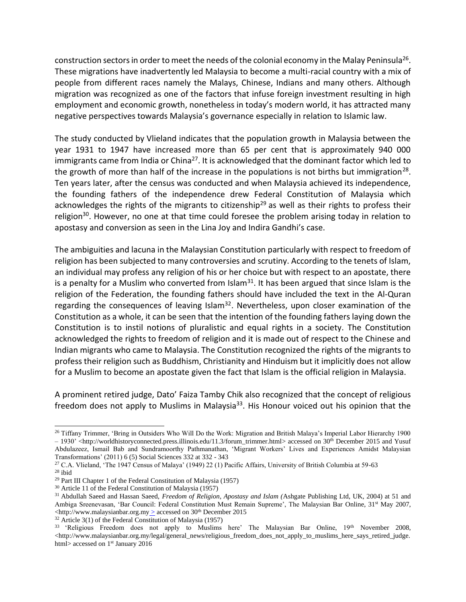construction sectors in order to meet the needs of the colonial economy in the Malay Peninsula<sup>26</sup>. These migrations have inadvertently led Malaysia to become a multi-racial country with a mix of people from different races namely the Malays, Chinese, Indians and many others. Although migration was recognized as one of the factors that infuse foreign investment resulting in high employment and economic growth, nonetheless in today's modern world, it has attracted many negative perspectives towards Malaysia's governance especially in relation to Islamic law.

The study conducted by Vlieland indicates that the population growth in Malaysia between the year 1931 to 1947 have increased more than 65 per cent that is approximately 940 000 immigrants came from India or China<sup>27</sup>. It is acknowledged that the dominant factor which led to the growth of more than half of the increase in the populations is not births but immigration<sup>28</sup>. Ten years later, after the census was conducted and when Malaysia achieved its independence, the founding fathers of the independence drew Federal Constitution of Malaysia which acknowledges the rights of the migrants to citizenship<sup>29</sup> as well as their rights to profess their religion<sup>30</sup>. However, no one at that time could foresee the problem arising today in relation to apostasy and conversion as seen in the Lina Joy and Indira Gandhi's case.

The ambiguities and lacuna in the Malaysian Constitution particularly with respect to freedom of religion has been subjected to many controversies and scrutiny. According to the tenets of Islam, an individual may profess any religion of his or her choice but with respect to an apostate, there is a penalty for a Muslim who converted from Islam<sup>31</sup>. It has been argued that since Islam is the religion of the Federation, the founding fathers should have included the text in the Al-Quran regarding the consequences of leaving Islam<sup>32</sup>. Nevertheless, upon closer examination of the Constitution as a whole, it can be seen that the intention of the founding fathers laying down the Constitution is to instil notions of pluralistic and equal rights in a society. The Constitution acknowledged the rights to freedom of religion and it is made out of respect to the Chinese and Indian migrants who came to Malaysia. The Constitution recognized the rights of the migrants to profess their religion such as Buddhism, Christianity and Hinduism but it implicitly does not allow for a Muslim to become an apostate given the fact that Islam is the official religion in Malaysia.

A prominent retired judge, Dato' Faiza Tamby Chik also recognized that the concept of religious freedom does not apply to Muslims in Malaysia<sup>33</sup>. His Honour voiced out his opinion that the

<sup>&</sup>lt;sup>26</sup> Tiffany Trimmer, 'Bring in Outsiders Who Will Do the Work: Migration and British Malaya's Imperial Labor Hierarchy 1900  $-1930'$  <http://worldhistoryconnected.press.illinois.edu/11.3/forum\_trimmer.html> accessed on 30<sup>th</sup> December 2015 and Yusuf Abdulazeez, Ismail Bab and Sundramoorthy Pathmanathan, 'Migrant Workers' Lives and Experiences Amidst Malaysian Transformations' (2011) 6 (5) Social Sciences 332 at 332 - 343

<sup>&</sup>lt;sup>27</sup> C.A. Vlieland, 'The 1947 Census of Malaya' (1949) 22 (1) Pacific Affairs, University of British Columbia at 59-63

<sup>28</sup> ibid

<sup>29</sup> Part III Chapter 1 of the Federal Constitution of Malaysia (1957)

<sup>30</sup> Article 11 of the Federal Constitution of Malaysia (1957)

<sup>31</sup> Abdullah Saeed and Hassan Saeed, *Freedom of Religion, Apostasy and Islam (*Ashgate Publishing Ltd, UK, 2004) at 51 and Ambiga Sreenevasan, 'Bar Council: Federal Constitution Must Remain Supreme', The Malaysian Bar Online, 31<sup>st</sup> May 2007,  $\langle \text{http://www.malaysiabar.org.my} \rangle$  accessed on 30<sup>th</sup> December 2015

 $32$  Article 3(1) of the Federal Constitution of Malaysia (1957)

<sup>&</sup>lt;sup>33</sup> 'Religious Freedom does not apply to Muslims here' The Malaysian Bar Online, 19<sup>th</sup> November 2008, <http://www.malaysianbar.org.my/legal/general\_news/religious\_freedom\_does\_not\_apply\_to\_muslims\_here\_says\_retired\_judge. html> accessed on 1<sup>st</sup> January 2016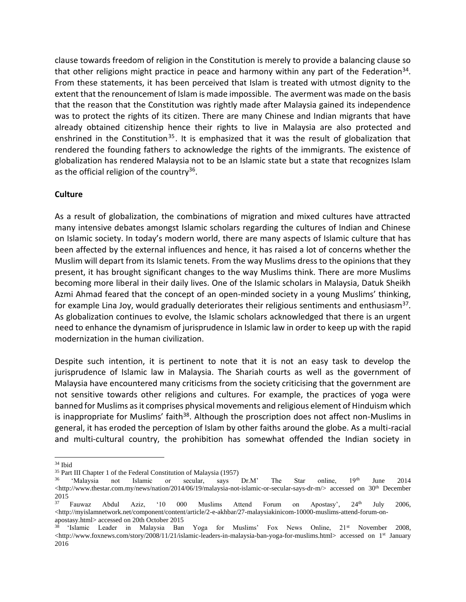clause towards freedom of religion in the Constitution is merely to provide a balancing clause so that other religions might practice in peace and harmony within any part of the Federation<sup>34</sup>. From these statements, it has been perceived that Islam is treated with utmost dignity to the extent that the renouncement of Islam is made impossible. The averment was made on the basis that the reason that the Constitution was rightly made after Malaysia gained its independence was to protect the rights of its citizen. There are many Chinese and Indian migrants that have already obtained citizenship hence their rights to live in Malaysia are also protected and enshrined in the Constitution<sup>35</sup>. It is emphasized that it was the result of globalization that rendered the founding fathers to acknowledge the rights of the immigrants. The existence of globalization has rendered Malaysia not to be an Islamic state but a state that recognizes Islam as the official religion of the country<sup>36</sup>.

## **Culture**

As a result of globalization, the combinations of migration and mixed cultures have attracted many intensive debates amongst Islamic scholars regarding the cultures of Indian and Chinese on Islamic society. In today's modern world, there are many aspects of Islamic culture that has been affected by the external influences and hence, it has raised a lot of concerns whether the Muslim will depart from its Islamic tenets. From the way Muslims dress to the opinions that they present, it has brought significant changes to the way Muslims think. There are more Muslims becoming more liberal in their daily lives. One of the Islamic scholars in Malaysia, Datuk Sheikh Azmi Ahmad feared that the concept of an open-minded society in a young Muslims' thinking, for example Lina Joy, would gradually deteriorates their religious sentiments and enthusiasm<sup>37</sup>. As globalization continues to evolve, the Islamic scholars acknowledged that there is an urgent need to enhance the dynamism of jurisprudence in Islamic law in order to keep up with the rapid modernization in the human civilization.

Despite such intention, it is pertinent to note that it is not an easy task to develop the jurisprudence of Islamic law in Malaysia. The Shariah courts as well as the government of Malaysia have encountered many criticisms from the society criticising that the government are not sensitive towards other religions and cultures. For example, the practices of yoga were banned for Muslims as it comprises physical movements and religious element of Hinduism which is inappropriate for Muslims' faith<sup>38</sup>. Although the proscription does not affect non-Muslims in general, it has eroded the perception of Islam by other faiths around the globe. As a multi-racial and multi-cultural country, the prohibition has somewhat offended the Indian society in

<sup>34</sup> Ibid

<sup>35</sup> Part III Chapter 1 of the Federal Constitution of Malaysia (1957)

<sup>&#</sup>x27;Malaysia not Islamic or secular, says Dr.M' The Star online, 19th June 2014 <http://www.thestar.com.my/news/nation/2014/06/19/malaysia-not-islamic-or-secular-says-dr-m/> accessed on 30<sup>th</sup> December  $\frac{2015}{37}$ 

Fauwaz Abdul Aziz, '10 000 Muslims Attend Forum on Apostasy', 24<sup>th</sup> July 2006,  $\langle$ http://myislamnetwork.net/component/content/article/2-e-akhbar/27-malaysiakinicom-10000-muslims-attend-forum-onapostasy.html> accessed on 20th October 2015

<sup>38</sup> 'Islamic Leader in Malaysia Ban Yoga for Muslims' Fox News Online, 21st November 2008, <http://www.foxnews.com/story/2008/11/21/islamic-leaders-in-malaysia-ban-yoga-for-muslims.html> accessed on 1st January 2016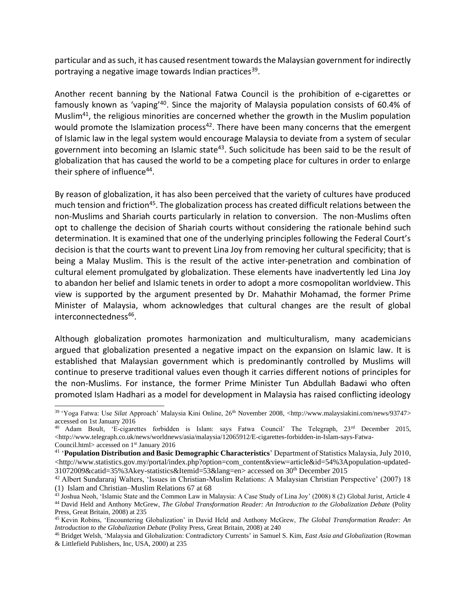particular and as such, it has caused resentment towards the Malaysian government for indirectly portraying a negative image towards Indian practices<sup>39</sup>.

Another recent banning by the National Fatwa Council is the prohibition of e-cigarettes or famously known as 'vaping'<sup>40</sup>. Since the majority of Malaysia population consists of 60.4% of Muslim<sup>41</sup>, the religious minorities are concerned whether the growth in the Muslim population would promote the Islamization process<sup>42</sup>. There have been many concerns that the emergent of Islamic law in the legal system would encourage Malaysia to deviate from a system of secular government into becoming an Islamic state<sup>43</sup>. Such solicitude has been said to be the result of globalization that has caused the world to be a competing place for cultures in order to enlarge their sphere of influence<sup>44</sup>.

By reason of globalization, it has also been perceived that the variety of cultures have produced much tension and friction<sup>45</sup>. The globalization process has created difficult relations between the non-Muslims and Shariah courts particularly in relation to conversion. The non-Muslims often opt to challenge the decision of Shariah courts without considering the rationale behind such determination. It is examined that one of the underlying principles following the Federal Court's decision is that the courts want to prevent Lina Joy from removing her cultural specificity; that is being a Malay Muslim. This is the result of the active inter-penetration and combination of cultural element promulgated by globalization. These elements have inadvertently led Lina Joy to abandon her belief and Islamic tenets in order to adopt a more cosmopolitan worldview. This view is supported by the argument presented by Dr. Mahathir Mohamad, the former Prime Minister of Malaysia, whom acknowledges that cultural changes are the result of global interconnectedness<sup>46</sup>.

Although globalization promotes harmonization and multiculturalism, many academicians argued that globalization presented a negative impact on the expansion on Islamic law. It is established that Malaysian government which is predominantly controlled by Muslims will continue to preserve traditional values even though it carries different notions of principles for the non-Muslims. For instance, the former Prime Minister Tun Abdullah Badawi who often promoted Islam Hadhari as a model for development in Malaysia has raised conflicting ideology

<sup>&</sup>lt;sup>39</sup> 'Yoga Fatwa: Use *Silat* Approach' Malaysia Kini Online, 26<sup>th</sup> November 2008, <http://www.malaysiakini.com/news/93747> accessed on 1st January 2016

<sup>&</sup>lt;sup>40</sup> Adam Boult, 'E-cigarettes forbidden is Islam: says Fatwa Council' The Telegraph, 23<sup>rd</sup> December 2015,  $\langle$ http://www.telegraph.co.uk/news/worldnews/asia/malaysia/12065912/E-cigarettes-forbidden-in-Islam-says-Fatwa-Council.html> accessed on 1<sup>st</sup> January 2016

<sup>41</sup> '**Population Distribution and Basic Demographic Characteristics**' Department of Statistics Malaysia, July 2010,  $\langle$ http://www.statistics.gov.my/portal/index.php?option=com\_content&view=article&id=54%3Apopulation-updated-31072009&catid=35%3Akey-statistics&Itemid=53&lang=en> accessed on 30th December 2015

<sup>42</sup> Albert Sundararaj Walters, 'Issues in Christian-Muslim Relations: A Malaysian Christian Perspective' (2007) 18 (1) Islam and Christian–Muslim Relations 67 at 68

<sup>&</sup>lt;sup>43</sup> Joshua Neoh, 'Islamic State and the Common Law in Malaysia: A Case Study of Lina Joy' (2008) 8 (2) Global Jurist, Article 4 <sup>44</sup> David Held and Anthony McGrew, *The Global Transformation Reader: An Introduction to the Globalization Debate* (Polity Press, Great Britain, 2008) at 235

<sup>45</sup> Kevin Robins, 'Encountering Globalization' in David Held and Anthony McGrew, *The Global Transformation Reader: An Introduction to the Globalization Debate* (Polity Press, Great Britain, 2008) at 240

<sup>46</sup> Bridget Welsh, 'Malaysia and Globalization: Contradictory Currents' in Samuel S. Kim, *East Asia and Globalization* (Rowman & Littlefield Publishers, Inc, USA, 2000) at 235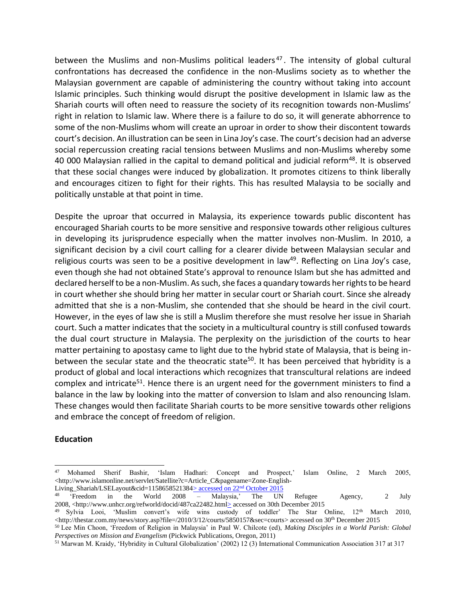between the Muslims and non-Muslims political leaders<sup>47</sup>. The intensity of global cultural confrontations has decreased the confidence in the non-Muslims society as to whether the Malaysian government are capable of administering the country without taking into account Islamic principles. Such thinking would disrupt the positive development in Islamic law as the Shariah courts will often need to reassure the society of its recognition towards non-Muslims' right in relation to Islamic law. Where there is a failure to do so, it will generate abhorrence to some of the non-Muslims whom will create an uproar in order to show their discontent towards court's decision. An illustration can be seen in Lina Joy's case. The court's decision had an adverse social repercussion creating racial tensions between Muslims and non-Muslims whereby some 40 000 Malaysian rallied in the capital to demand political and judicial reform<sup>48</sup>. It is observed that these social changes were induced by globalization. It promotes citizens to think liberally and encourages citizen to fight for their rights. This has resulted Malaysia to be socially and politically unstable at that point in time.

Despite the uproar that occurred in Malaysia, its experience towards public discontent has encouraged Shariah courts to be more sensitive and responsive towards other religious cultures in developing its jurisprudence especially when the matter involves non-Muslim. In 2010, a significant decision by a civil court calling for a clearer divide between Malaysian secular and religious courts was seen to be a positive development in  $law<sup>49</sup>$ . Reflecting on Lina Joy's case, even though she had not obtained State's approval to renounce Islam but she has admitted and declared herself to be a non-Muslim. As such, she faces a quandary towards her rights to be heard in court whether she should bring her matter in secular court or Shariah court. Since she already admitted that she is a non-Muslim, she contended that she should be heard in the civil court. However, in the eyes of law she is still a Muslim therefore she must resolve her issue in Shariah court. Such a matter indicates that the society in a multicultural country is still confused towards the dual court structure in Malaysia. The perplexity on the jurisdiction of the courts to hear matter pertaining to apostasy came to light due to the hybrid state of Malaysia, that is being inbetween the secular state and the theocratic state<sup>50</sup>. It has been perceived that hybridity is a product of global and local interactions which recognizes that transcultural relations are indeed complex and intricate<sup>51</sup>. Hence there is an urgent need for the government ministers to find a balance in the law by looking into the matter of conversion to Islam and also renouncing Islam. These changes would then facilitate Shariah courts to be more sensitive towards other religions and embrace the concept of freedom of religion.

### **Education**

<sup>47</sup> Mohamed Sherif Bashir, 'Islam Hadhari: Concept and Prospect,' Islam Online, 2 March 2005, <http://www.islamonline.net/servlet/Satellite?c=Article\_C&pagename=Zone-English-

Living\_Shariah/LSELayout&cid=1158658521384 $\geq$  accessed on 22<sup>nd</sup> October 2015<br><sup>48</sup> 'Freedom in the World 2008 - Malaysia,' The UN 48 'Freedom in the World 2008 – Malaysia,' The UN Refugee Agency, 2 July 2008, <http://www.unhcr.org/refworld/docid/487ca22482.html> accessed on 30th December 2015

<sup>&</sup>lt;sup>49</sup> Sylvia Looi, 'Muslim convert's wife wins custody of toddler' The Star Online, 12<sup>th</sup> March 2010, <http://thestar.com.my/news/story.asp?file=/2010/3/12/courts/5850157&sec=courts> accessed on 30th December 2015

<sup>50</sup> Lee Min Choon, 'Freedom of Religion in Malaysia' in Paul W. Chilcote (ed), *Making Disciples in a World Parish: Global Perspectives on Mission and Evangelism* (Pickwick Publications, Oregon, 2011)

<sup>51</sup> Marwan M. Kraidy, 'Hybridity in Cultural Globalization' (2002) 12 (3) International Communication Association 317 at 317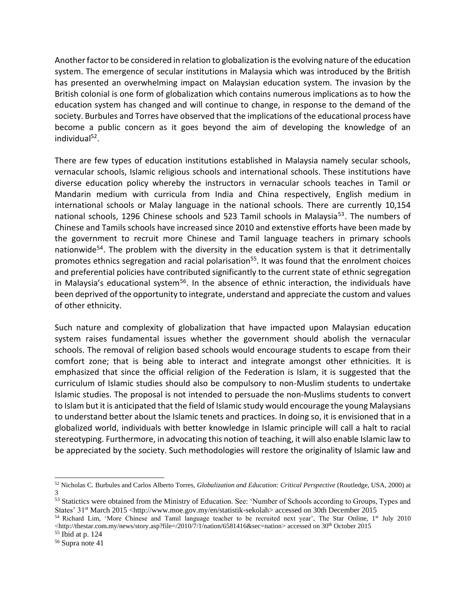Another factor to be considered in relation to globalization is the evolving nature of the education system. The emergence of secular institutions in Malaysia which was introduced by the British has presented an overwhelming impact on Malaysian education system. The invasion by the British colonial is one form of globalization which contains numerous implications as to how the education system has changed and will continue to change, in response to the demand of the society. Burbules and Torres have observed that the implications of the educational process have become a public concern as it goes beyond the aim of developing the knowledge of an individual<sup>52</sup>.

There are few types of education institutions established in Malaysia namely secular schools, vernacular schools, Islamic religious schools and international schools. These institutions have diverse education policy whereby the instructors in vernacular schools teaches in Tamil or Mandarin medium with curricula from India and China respectively, English medium in international schools or Malay language in the national schools. There are currently 10,154 national schools, 1296 Chinese schools and 523 Tamil schools in Malaysia<sup>53</sup>. The numbers of Chinese and Tamils schools have increased since 2010 and extenstive efforts have been made by the government to recruit more Chinese and Tamil language teachers in primary schools nationwide<sup>54</sup>. The problem with the diversity in the education system is that it detrimentally promotes ethnics segregation and racial polarisation<sup>55</sup>. It was found that the enrolment choices and preferential policies have contributed significantly to the current state of ethnic segregation in Malaysia's educational system<sup>56</sup>. In the absence of ethnic interaction, the individuals have been deprived of the opportunity to integrate, understand and appreciate the custom and values of other ethnicity.

Such nature and complexity of globalization that have impacted upon Malaysian education system raises fundamental issues whether the government should abolish the vernacular schools. The removal of religion based schools would encourage students to escape from their comfort zone; that is being able to interact and integrate amongst other ethnicities. It is emphasized that since the official religion of the Federation is Islam, it is suggested that the curriculum of Islamic studies should also be compulsory to non-Muslim students to undertake Islamic studies. The proposal is not intended to persuade the non-Muslims students to convert to Islam but it is anticipated that the field of Islamic study would encourage the young Malaysians to understand better about the Islamic tenets and practices. In doing so, it is envisioned that in a globalized world, individuals with better knowledge in Islamic principle will call a halt to racial stereotyping. Furthermore, in advocating this notion of teaching, it will also enable Islamic law to be appreciated by the society. Such methodologies will restore the originality of Islamic law and

<sup>52</sup> Nicholas C. Burbules and Carlos Alberto Torres, *Globalization and Education: Critical Perspective* (Routledge, USA, 2000) at 3

<sup>&</sup>lt;sup>53</sup> Statictics were obtained from the Ministry of Education. See: 'Number of Schools according to Groups, Types and States' 31st March 2015 <http://www.moe.gov.my/en/statistik-sekolah> accessed on 30th December 2015

<sup>&</sup>lt;sup>54</sup> Richard Lim, 'More Chinese and Tamil language teacher to be recruited next year', The Star Online, 1<sup>st</sup> July 2010 <http://thestar.com.my/news/story.asp?file=/2010/7/1/nation/6581416&sec=nation> accessed on 30th October 2015

 $55$  Ibid at p. 124

<sup>56</sup> Supra note 41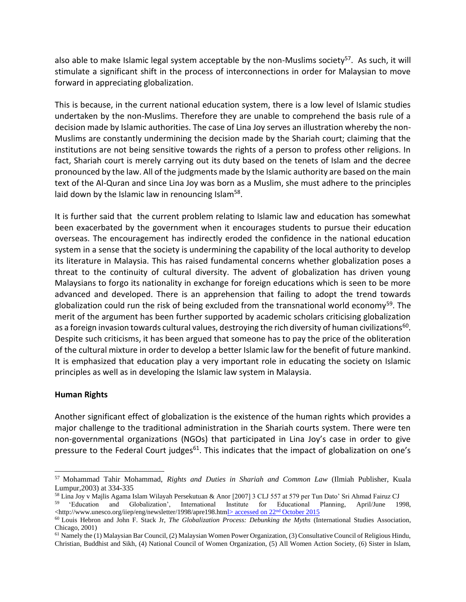also able to make Islamic legal system acceptable by the non-Muslims society<sup>57</sup>. As such, it will stimulate a significant shift in the process of interconnections in order for Malaysian to move forward in appreciating globalization.

This is because, in the current national education system, there is a low level of Islamic studies undertaken by the non-Muslims. Therefore they are unable to comprehend the basis rule of a decision made by Islamic authorities. The case of Lina Joy serves an illustration whereby the non-Muslims are constantly undermining the decision made by the Shariah court; claiming that the institutions are not being sensitive towards the rights of a person to profess other religions. In fact, Shariah court is merely carrying out its duty based on the tenets of Islam and the decree pronounced by the law. All of the judgments made by the Islamic authority are based on the main text of the Al-Quran and since Lina Joy was born as a Muslim, she must adhere to the principles laid down by the Islamic law in renouncing Islam<sup>58</sup>.

It is further said that the current problem relating to Islamic law and education has somewhat been exacerbated by the government when it encourages students to pursue their education overseas. The encouragement has indirectly eroded the confidence in the national education system in a sense that the society is undermining the capability of the local authority to develop its literature in Malaysia. This has raised fundamental concerns whether globalization poses a threat to the continuity of cultural diversity. The advent of globalization has driven young Malaysians to forgo its nationality in exchange for foreign educations which is seen to be more advanced and developed. There is an apprehension that failing to adopt the trend towards globalization could run the risk of being excluded from the transnational world economy<sup>59</sup>. The merit of the argument has been further supported by academic scholars criticising globalization as a foreign invasion towards cultural values, destroying the rich diversity of human civilizations $^{60}$ . Despite such criticisms, it has been argued that someone has to pay the price of the obliteration of the cultural mixture in order to develop a better Islamic law for the benefit of future mankind. It is emphasized that education play a very important role in educating the society on Islamic principles as well as in developing the Islamic law system in Malaysia.

### **Human Rights**

Another significant effect of globalization is the existence of the human rights which provides a major challenge to the traditional administration in the Shariah courts system. There were ten non-governmental organizations (NGOs) that participated in Lina Joy's case in order to give pressure to the Federal Court judges<sup>61</sup>. This indicates that the impact of globalization on one's

<sup>57</sup> Mohammad Tahir Mohammad, *Rights and Duties in Shariah and Common Law* (Ilmiah Publisher, Kuala Lumpur,2003) at 334-335

<sup>&</sup>lt;sup>58</sup> Lina Joy v Majlis Agama Islam Wilayah Persekutuan & Anor [2007] 3 CLJ 557 at 579 per Tun Dato' Sri Ahmad Fairuz CJ<br><sup>59</sup> 'Education and Globalization', International Institute for Educational Planning, April/June 19

Globalization', International Institute for Educational Planning, April/June 1998, <http://www.unesco.org/iiep/eng/newsletter/1998/apre198.html> accessed on 22nd October 2015

<sup>60</sup> Louis Hebron and John F. Stack Jr, *The Globalization Process: Debunking the Myths* (International Studies Association, Chicago, 2001)

 $<sup>61</sup>$  Namely the (1) Malaysian Bar Council, (2) Malaysian Women Power Organization, (3) Consultative Council of Religious Hindu,</sup> Christian, Buddhist and Sikh, (4) National Council of Women Organization, (5) All Women Action Society, (6) Sister in Islam,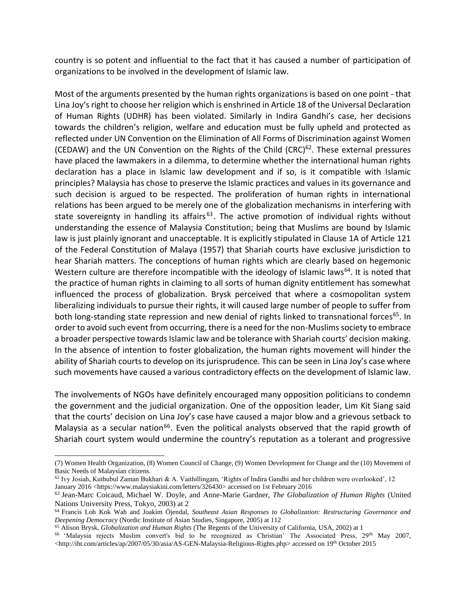country is so potent and influential to the fact that it has caused a number of participation of organizations to be involved in the development of Islamic law.

Most of the arguments presented by the human rights organizations is based on one point - that Lina Joy's right to choose her religion which is enshrined in Article 18 of the Universal Declaration of Human Rights (UDHR) has been violated. Similarly in Indira Gandhi's case, her decisions towards the children's religion, welfare and education must be fully upheld and protected as reflected under UN Convention on the Elimination of All Forms of Discrimination against Women (CEDAW) and the UN Convention on the Rights of the Child  $(CRC)^{62}$ . These external pressures have placed the lawmakers in a dilemma, to determine whether the international human rights declaration has a place in Islamic law development and if so, is it compatible with Islamic principles? Malaysia has chose to preserve the Islamic practices and values in its governance and such decision is argued to be respected. The proliferation of human rights in international relations has been argued to be merely one of the globalization mechanisms in interfering with state sovereignty in handling its affairs<sup>63</sup>. The active promotion of individual rights without understanding the essence of Malaysia Constitution; being that Muslims are bound by Islamic law is just plainly ignorant and unacceptable. It is explicitly stipulated in Clause 1A of Article 121 of the Federal Constitution of Malaya (1957) that Shariah courts have exclusive jurisdiction to hear Shariah matters. The conceptions of human rights which are clearly based on hegemonic Western culture are therefore incompatible with the ideology of Islamic laws<sup>64</sup>. It is noted that the practice of human rights in claiming to all sorts of human dignity entitlement has somewhat influenced the process of globalization. Brysk perceived that where a cosmopolitan system liberalizing individuals to pursue their rights, it will caused large number of people to suffer from both long-standing state repression and new denial of rights linked to transnational forces<sup>65</sup>. In order to avoid such event from occurring, there is a need for the non-Muslims society to embrace a broader perspective towards Islamic law and be tolerance with Shariah courts' decision making. In the absence of intention to foster globalization, the human rights movement will hinder the ability of Shariah courts to develop on its jurisprudence. This can be seen in Lina Joy's case where such movements have caused a various contradictory effects on the development of Islamic law.

The involvements of NGOs have definitely encouraged many opposition politicians to condemn the government and the judicial organization. One of the opposition leader, Lim Kit Siang said that the courts' decision on Lina Joy's case have caused a major blow and a grievous setback to Malaysia as a secular nation<sup>66</sup>. Even the political analysts observed that the rapid growth of Shariah court system would undermine the country's reputation as a tolerant and progressive

<sup>(7)</sup> Women Health Organization, (8) Women Council of Change, (9) Women Development for Change and the (10) Movement of Basic Needs of Malaysian citizens.

 $62$  Ivy Josiah, Kuthubul Zaman Bukhari & A. Vaithillingam, 'Rights of Indira Gandhi and her children were overlooked', 12 January 2016 <https://www.malaysiakini.com/letters/326430> accessed on 1st February 2016

<sup>63</sup> Jean-Marc Coicaud, Michael W. Doyle, and Anne-Marie Gardner, *The Globalization of Human Rights* (United Nations University Press, Tokyo, 2003) at 2

<sup>64</sup> Francis Loh Kok Wah and Joakim Öjendal, *Southeast Asian Responses to Globalization: Restructuring Governance and Deepening Democracy* (Nordic Institute of Asian Studies, Singapore, 2005) at 112

<sup>65</sup> Alison Brysk, *Globalization and Human Rights* (The Regents of the University of California, USA, 2002) at 1

<sup>&</sup>lt;sup>66</sup> 'Malaysia rejects Muslim convert's bid to be recognized as Christian' The Associated Press, 29<sup>th</sup> May 2007, <http://iht.com/articles/ap/2007/05/30/asia/AS-GEN-Malaysia-Religious-Rights.php> accessed on 19th October 2015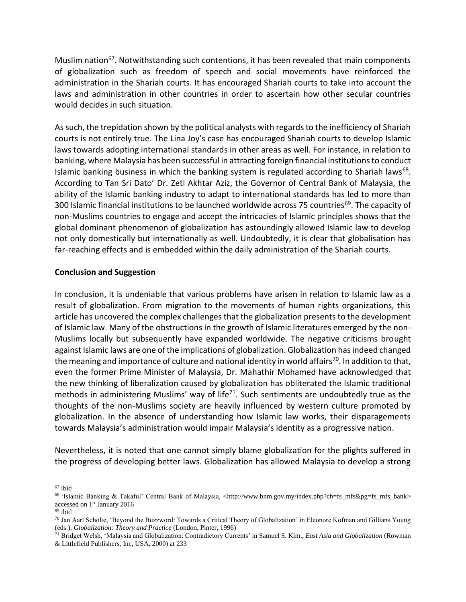Muslim nation<sup>67</sup>. Notwithstanding such contentions, it has been revealed that main components of globalization such as freedom of speech and social movements have reinforced the administration in the Shariah courts. It has encouraged Shariah courts to take into account the laws and administration in other countries in order to ascertain how other secular countries would decides in such situation.

As such, the trepidation shown by the political analysts with regards to the inefficiency of Shariah courts is not entirely true. The Lina Joy's case has encouraged Shariah courts to develop Islamic laws towards adopting international standards in other areas as well. For instance, in relation to banking, where Malaysia has been successful in attracting foreign financial institutions to conduct Islamic banking business in which the banking system is regulated according to Shariah laws<sup>68</sup>. According to Tan Sri Dato' Dr. Zeti Akhtar Aziz, the Governor of Central Bank of Malaysia, the ability of the Islamic banking industry to adapt to international standards has led to more than 300 Islamic financial institutions to be launched worldwide across 75 countries<sup>69</sup>. The capacity of non-Muslims countries to engage and accept the intricacies of Islamic principles shows that the global dominant phenomenon of globalization has astoundingly allowed Islamic law to develop not only domestically but internationally as well. Undoubtedly, it is clear that globalisation has far-reaching effects and is embedded within the daily administration of the Shariah courts.

### **Conclusion and Suggestion**

In conclusion, it is undeniable that various problems have arisen in relation to Islamic law as a result of globalization. From migration to the movements of human rights organizations, this article has uncovered the complex challenges that the globalization presents to the development of Islamic law. Many of the obstructions in the growth of Islamic literatures emerged by the non-Muslims locally but subsequently have expanded worldwide. The negative criticisms brought against Islamic laws are one of the implications of globalization. Globalization has indeed changed the meaning and importance of culture and national identity in world affairs<sup>70</sup>. In addition to that, even the former Prime Minister of Malaysia, Dr. Mahathir Mohamed have acknowledged that the new thinking of liberalization caused by globalization has obliterated the Islamic traditional methods in administering Muslims' way of life<sup>71</sup>. Such sentiments are undoubtedly true as the thoughts of the non-Muslims society are heavily influenced by western culture promoted by globalization. In the absence of understanding how Islamic law works, their disparagements towards Malaysia's administration would impair Malaysia's identity as a progressive nation.

Nevertheless, it is noted that one cannot simply blame globalization for the plights suffered in the progress of developing better laws. Globalization has allowed Malaysia to develop a strong

<sup>67</sup> ibid

<sup>68 &#</sup>x27;Islamic Banking & Takaful' Central Bank of Malaysia, <http://www.bnm.gov.my/index.php?ch=fs\_mfs&pg=fs\_mfs\_bank> accessed on 1st January 2016

<sup>69</sup> ibid

 $70$  Jan Aart Scholte, 'Beyond the Buzzword: Towards a Critical Theory of Globalization' in Eleonore Kofman and Gillians Young (eds.), *Globalization: Theory and Practice* (London, Pinter, 1996)

<sup>71</sup> Bridget Welsh, 'Malaysia and Globalization: Contradictory Currents' in Samuel S. Kim., *East Asia and Globalization* (Rowman & Littlefield Publishers, Inc, USA, 2000) at 233